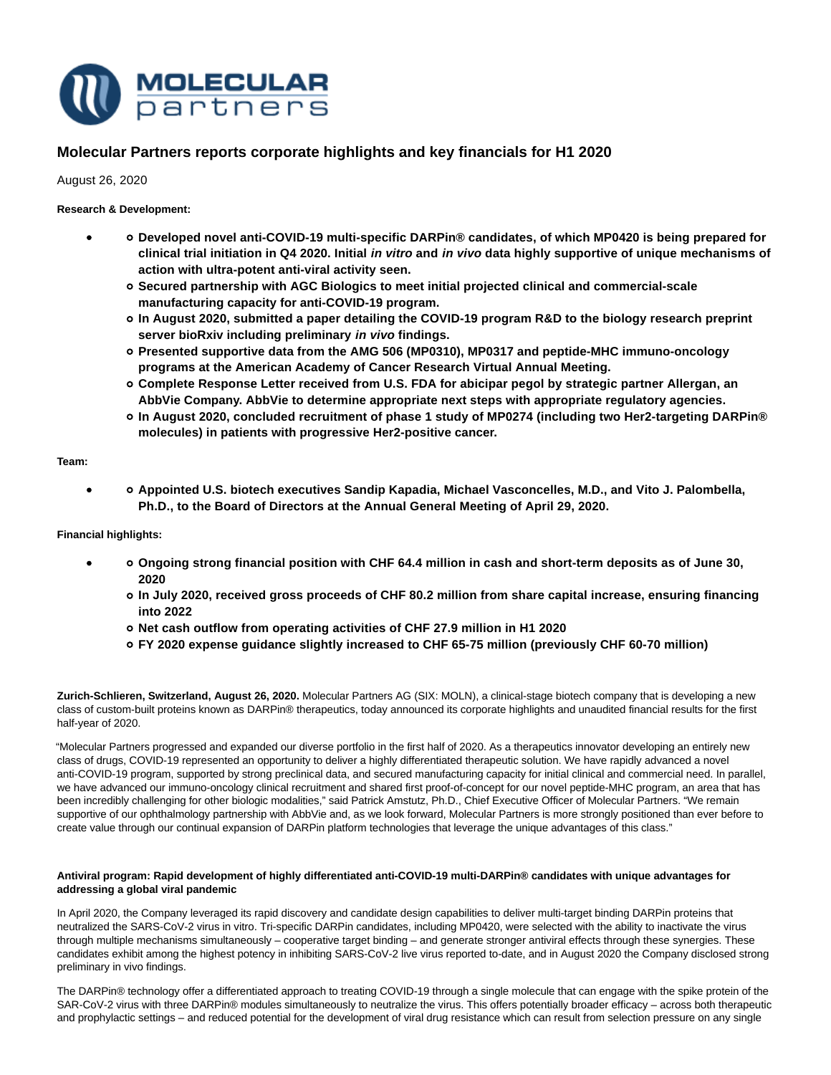

# **Molecular Partners reports corporate highlights and key financials for H1 2020**

# August 26, 2020

# **Research & Development:**

- **Developed novel anti-COVID-19 multi-specific DARPin® candidates, of which MP0420 is being prepared for clinical trial initiation in Q4 2020. Initial in vitro and in vivo data highly supportive of unique mechanisms of action with ultra-potent anti-viral activity seen.**
	- **Secured partnership with AGC Biologics to meet initial projected clinical and commercial-scale manufacturing capacity for anti-COVID-19 program.**
	- **In August 2020, submitted a paper detailing the COVID-19 program R&D to the biology research preprint server bioRxiv including preliminary in vivo findings.**
	- **Presented supportive data from the AMG 506 (MP0310), MP0317 and peptide-MHC immuno-oncology programs at the American Academy of Cancer Research Virtual Annual Meeting.**
	- **Complete Response Letter received from U.S. FDA for abicipar pegol by strategic partner Allergan, an AbbVie Company. AbbVie to determine appropriate next steps with appropriate regulatory agencies.**
	- **In August 2020, concluded recruitment of phase 1 study of MP0274 (including two Her2-targeting DARPin® molecules) in patients with progressive Her2-positive cancer.**

# **Team:**

 $\bullet$ 

**Appointed U.S. biotech executives Sandip Kapadia, Michael Vasconcelles, M.D., and Vito J. Palombella, Ph.D., to the Board of Directors at the Annual General Meeting of April 29, 2020.**

**Financial highlights:**

- **Ongoing strong financial position with CHF 64.4 million in cash and short-term deposits as of June 30, 2020**
	- **In July 2020, received gross proceeds of CHF 80.2 million from share capital increase, ensuring financing into 2022**
	- **Net cash outflow from operating activities of CHF 27.9 million in H1 2020**
	- **FY 2020 expense guidance slightly increased to CHF 65-75 million (previously CHF 60-70 million)**

**Zurich-Schlieren, Switzerland, August 26, 2020.** Molecular Partners AG (SIX: MOLN), a clinical-stage biotech company that is developing a new class of custom-built proteins known as DARPin® therapeutics, today announced its corporate highlights and unaudited financial results for the first half-year of 2020.

"Molecular Partners progressed and expanded our diverse portfolio in the first half of 2020. As a therapeutics innovator developing an entirely new class of drugs, COVID-19 represented an opportunity to deliver a highly differentiated therapeutic solution. We have rapidly advanced a novel anti-COVID-19 program, supported by strong preclinical data, and secured manufacturing capacity for initial clinical and commercial need. In parallel, we have advanced our immuno-oncology clinical recruitment and shared first proof-of-concept for our novel peptide-MHC program, an area that has been incredibly challenging for other biologic modalities," said Patrick Amstutz, Ph.D., Chief Executive Officer of Molecular Partners. "We remain supportive of our ophthalmology partnership with AbbVie and, as we look forward, Molecular Partners is more strongly positioned than ever before to create value through our continual expansion of DARPin platform technologies that leverage the unique advantages of this class."

# **Antiviral program: Rapid development of highly differentiated anti-COVID-19 multi-DARPin® candidates with unique advantages for addressing a global viral pandemic**

In April 2020, the Company leveraged its rapid discovery and candidate design capabilities to deliver multi-target binding DARPin proteins that neutralized the SARS-CoV-2 virus in vitro. Tri-specific DARPin candidates, including MP0420, were selected with the ability to inactivate the virus through multiple mechanisms simultaneously – cooperative target binding – and generate stronger antiviral effects through these synergies. These candidates exhibit among the highest potency in inhibiting SARS-CoV-2 live virus reported to-date, and in August 2020 the Company disclosed strong preliminary in vivo findings.

The DARPin® technology offer a differentiated approach to treating COVID-19 through a single molecule that can engage with the spike protein of the SAR-CoV-2 virus with three DARPin® modules simultaneously to neutralize the virus. This offers potentially broader efficacy – across both therapeutic and prophylactic settings – and reduced potential for the development of viral drug resistance which can result from selection pressure on any single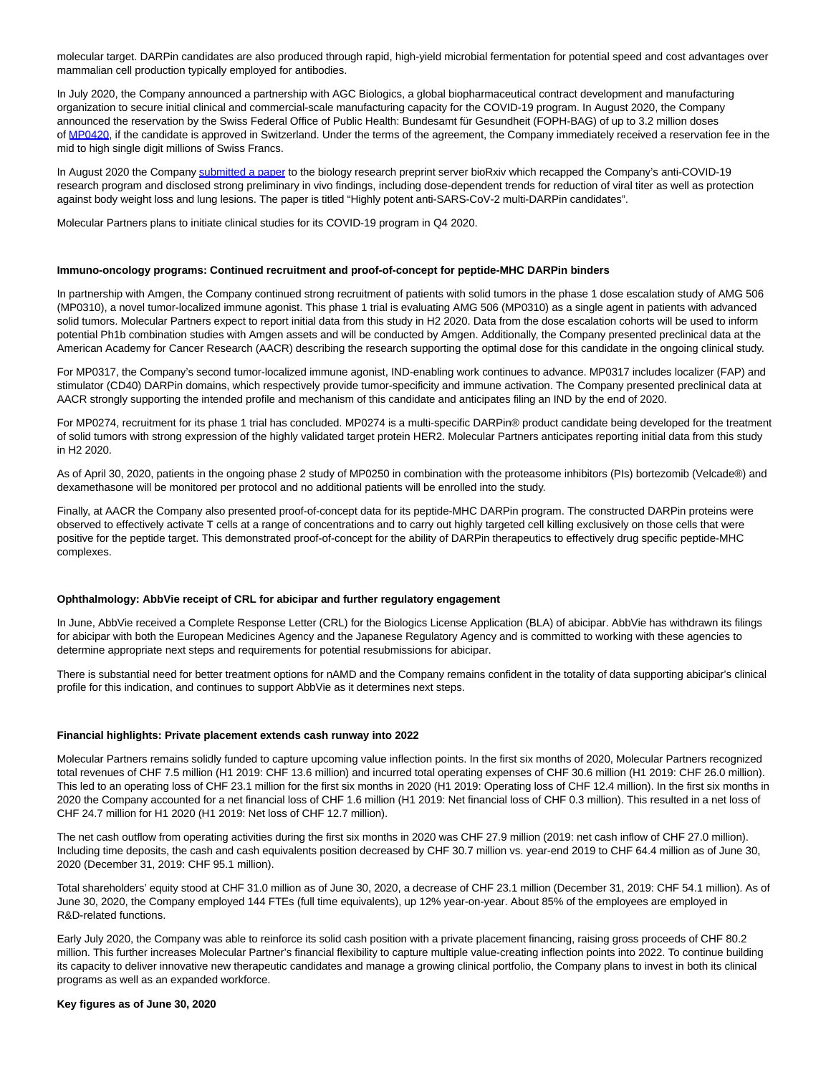molecular target. DARPin candidates are also produced through rapid, high-yield microbial fermentation for potential speed and cost advantages over mammalian cell production typically employed for antibodies.

In July 2020, the Company announced a partnership with AGC Biologics, a global biopharmaceutical contract development and manufacturing organization to secure initial clinical and commercial-scale manufacturing capacity for the COVID-19 program. In August 2020, the Company announced the reservation by the Swiss Federal Office of Public Health: Bundesamt für Gesundheit (FOPH-BAG) of up to 3.2 million doses of [MP0420,](https://www.molecularpartners.com/wp-content/uploads/MP0420.png) if the candidate is approved in Switzerland. Under the terms of the agreement, the Company immediately received a reservation fee in the mid to high single digit millions of Swiss Francs.

In August 2020 the Company [submitted a paper t](https://www.biorxiv.org/content/10.1101/2020.08.25.256339v1)o the biology research preprint server bioRxiv which recapped the Company's anti-COVID-19 research program and disclosed strong preliminary in vivo findings, including dose-dependent trends for reduction of viral titer as well as protection against body weight loss and lung lesions. The paper is titled "Highly potent anti-SARS-CoV-2 multi-DARPin candidates".

Molecular Partners plans to initiate clinical studies for its COVID-19 program in Q4 2020.

#### **Immuno-oncology programs: Continued recruitment and proof-of-concept for peptide-MHC DARPin binders**

In partnership with Amgen, the Company continued strong recruitment of patients with solid tumors in the phase 1 dose escalation study of AMG 506 (MP0310), a novel tumor-localized immune agonist. This phase 1 trial is evaluating AMG 506 (MP0310) as a single agent in patients with advanced solid tumors. Molecular Partners expect to report initial data from this study in H2 2020. Data from the dose escalation cohorts will be used to inform potential Ph1b combination studies with Amgen assets and will be conducted by Amgen. Additionally, the Company presented preclinical data at the American Academy for Cancer Research (AACR) describing the research supporting the optimal dose for this candidate in the ongoing clinical study.

For MP0317, the Company's second tumor-localized immune agonist, IND-enabling work continues to advance. MP0317 includes localizer (FAP) and stimulator (CD40) DARPin domains, which respectively provide tumor-specificity and immune activation. The Company presented preclinical data at AACR strongly supporting the intended profile and mechanism of this candidate and anticipates filing an IND by the end of 2020.

For MP0274, recruitment for its phase 1 trial has concluded. MP0274 is a multi-specific DARPin® product candidate being developed for the treatment of solid tumors with strong expression of the highly validated target protein HER2. Molecular Partners anticipates reporting initial data from this study in H2 2020.

As of April 30, 2020, patients in the ongoing phase 2 study of MP0250 in combination with the proteasome inhibitors (PIs) bortezomib (Velcade®) and dexamethasone will be monitored per protocol and no additional patients will be enrolled into the study.

Finally, at AACR the Company also presented proof-of-concept data for its peptide-MHC DARPin program. The constructed DARPin proteins were observed to effectively activate T cells at a range of concentrations and to carry out highly targeted cell killing exclusively on those cells that were positive for the peptide target. This demonstrated proof-of-concept for the ability of DARPin therapeutics to effectively drug specific peptide-MHC complexes.

#### **Ophthalmology: AbbVie receipt of CRL for abicipar and further regulatory engagement**

In June, AbbVie received a Complete Response Letter (CRL) for the Biologics License Application (BLA) of abicipar. AbbVie has withdrawn its filings for abicipar with both the European Medicines Agency and the Japanese Regulatory Agency and is committed to working with these agencies to determine appropriate next steps and requirements for potential resubmissions for abicipar.

There is substantial need for better treatment options for nAMD and the Company remains confident in the totality of data supporting abicipar's clinical profile for this indication, and continues to support AbbVie as it determines next steps.

#### **Financial highlights: Private placement extends cash runway into 2022**

Molecular Partners remains solidly funded to capture upcoming value inflection points. In the first six months of 2020, Molecular Partners recognized total revenues of CHF 7.5 million (H1 2019: CHF 13.6 million) and incurred total operating expenses of CHF 30.6 million (H1 2019: CHF 26.0 million). This led to an operating loss of CHF 23.1 million for the first six months in 2020 (H1 2019: Operating loss of CHF 12.4 million). In the first six months in 2020 the Company accounted for a net financial loss of CHF 1.6 million (H1 2019: Net financial loss of CHF 0.3 million). This resulted in a net loss of CHF 24.7 million for H1 2020 (H1 2019: Net loss of CHF 12.7 million).

The net cash outflow from operating activities during the first six months in 2020 was CHF 27.9 million (2019: net cash inflow of CHF 27.0 million). Including time deposits, the cash and cash equivalents position decreased by CHF 30.7 million vs. year-end 2019 to CHF 64.4 million as of June 30, 2020 (December 31, 2019: CHF 95.1 million).

Total shareholders' equity stood at CHF 31.0 million as of June 30, 2020, a decrease of CHF 23.1 million (December 31, 2019: CHF 54.1 million). As of June 30, 2020, the Company employed 144 FTEs (full time equivalents), up 12% year-on-year. About 85% of the employees are employed in R&D-related functions.

Early July 2020, the Company was able to reinforce its solid cash position with a private placement financing, raising gross proceeds of CHF 80.2 million. This further increases Molecular Partner's financial flexibility to capture multiple value-creating inflection points into 2022. To continue building its capacity to deliver innovative new therapeutic candidates and manage a growing clinical portfolio, the Company plans to invest in both its clinical programs as well as an expanded workforce.

#### **Key figures as of June 30, 2020**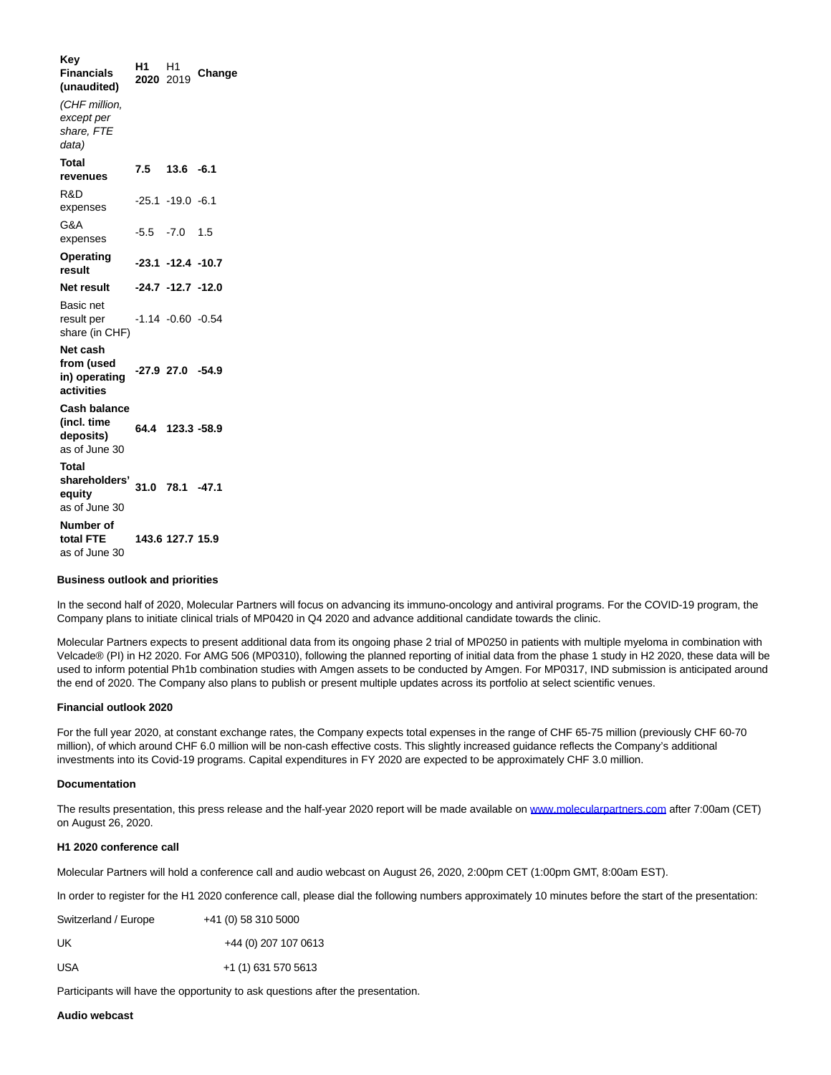**Key Financials (unaudited) H1 2020** H1 <sup>2019</sup> **Change** (CHF million, except per share, FTE data) **Total revenues 7.5 13.6 -6.1** R&D expenses -25.1 -19.0 -6.1 G&A expenses -5.5 -7.0 1.5 **Operating result -23.1 -12.4 -10.7 Net result -24.7 -12.7 -12.0** Basic net result per share (in CHF) -1.14 -0.60 -0.54 **Net cash from (used in) operating activities -27.9 27.0 -54.9 Cash balance (incl. time deposits)** as of June 30 **64.4 123.3 -58.9 Total shareholders' 31.0 78.1 -47.1 equity** as of June 30 **Number of total FTE** as of June 30 **143.6 127.7 15.9**

### **Business outlook and priorities**

In the second half of 2020, Molecular Partners will focus on advancing its immuno-oncology and antiviral programs. For the COVID-19 program, the Company plans to initiate clinical trials of MP0420 in Q4 2020 and advance additional candidate towards the clinic.

Molecular Partners expects to present additional data from its ongoing phase 2 trial of MP0250 in patients with multiple myeloma in combination with Velcade® (PI) in H2 2020. For AMG 506 (MP0310), following the planned reporting of initial data from the phase 1 study in H2 2020, these data will be used to inform potential Ph1b combination studies with Amgen assets to be conducted by Amgen. For MP0317, IND submission is anticipated around the end of 2020. The Company also plans to publish or present multiple updates across its portfolio at select scientific venues.

### **Financial outlook 2020**

For the full year 2020, at constant exchange rates, the Company expects total expenses in the range of CHF 65-75 million (previously CHF 60-70 million), of which around CHF 6.0 million will be non-cash effective costs. This slightly increased guidance reflects the Company's additional investments into its Covid-19 programs. Capital expenditures in FY 2020 are expected to be approximately CHF 3.0 million.

### **Documentation**

The results presentation, this press release and the half-year 2020 report will be made available on [www.molecularpartners.com a](https://www.molecularpartners.com/)fter 7:00am (CET) on August 26, 2020.

### **H1 2020 conference call**

Molecular Partners will hold a conference call and audio webcast on August 26, 2020, 2:00pm CET (1:00pm GMT, 8:00am EST).

In order to register for the H1 2020 conference call, please dial the following numbers approximately 10 minutes before the start of the presentation:

| Switzerland / Europe | +41 (0) 58 310 5000  |
|----------------------|----------------------|
| UK                   | +44 (0) 207 107 0613 |
| USA                  | +1 (1) 631 570 5613  |

Participants will have the opportunity to ask questions after the presentation.

# **Audio webcast**